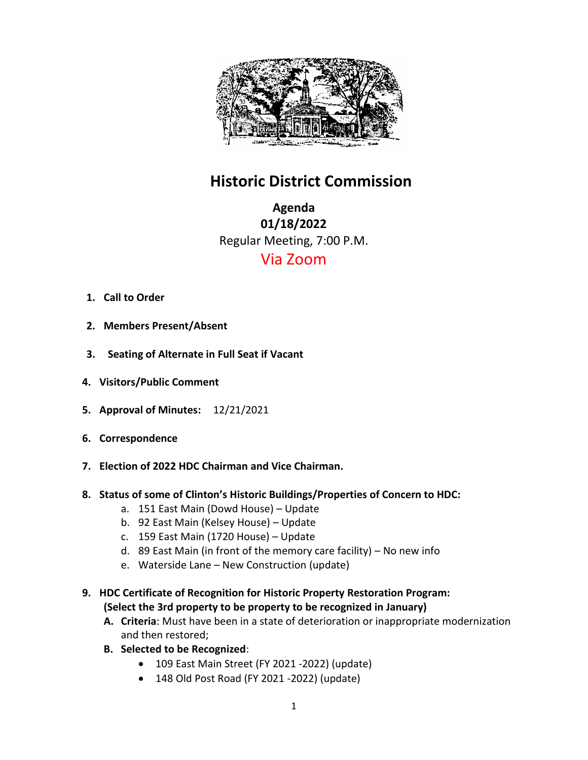

# **Historic District Commission**

**Agenda 01/18/2022** Regular Meeting, 7:00 P.M. Via Zoom

- **1. Call to Order**
- **2. Members Present/Absent**
- **3. Seating of Alternate in Full Seat if Vacant**
- **4. Visitors/Public Comment**
- **5. Approval of Minutes:** 12/21/2021
- **6. Correspondence**
- **7. Election of 2022 HDC Chairman and Vice Chairman.**
- **8. Status of some of Clinton's Historic Buildings/Properties of Concern to HDC:**
	- a. 151 East Main (Dowd House) Update
	- b. 92 East Main (Kelsey House) Update
	- c. 159 East Main (1720 House) Update
	- d. 89 East Main (in front of the memory care facility) No new info
	- e. Waterside Lane New Construction (update)
- **9. HDC Certificate of Recognition for Historic Property Restoration Program: (Select the 3rd property to be property to be recognized in January)** 
	- **A. Criteria**: Must have been in a state of deterioration or inappropriate modernization and then restored;
	- **B. Selected to be Recognized**:
		- 109 East Main Street (FY 2021 -2022) (update)
		- 148 Old Post Road (FY 2021 -2022) (update)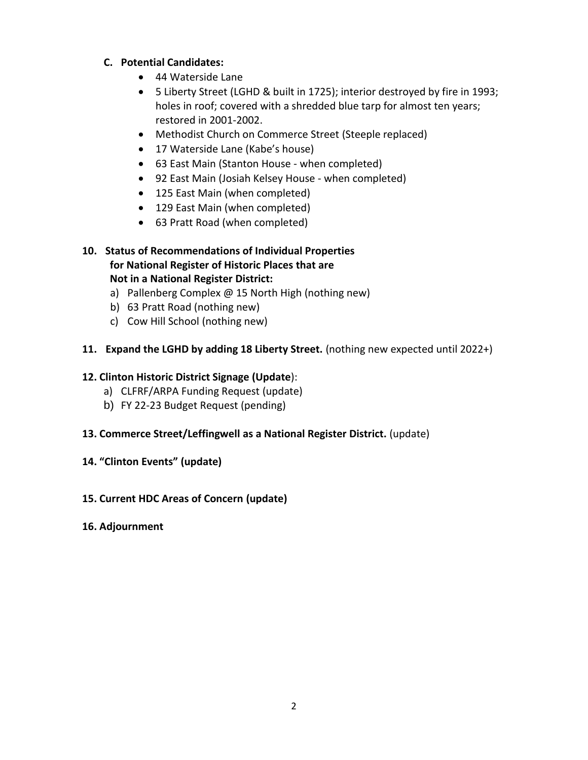#### **C. Potential Candidates:**

- 44 Waterside Lane
- 5 Liberty Street (LGHD & built in 1725); interior destroyed by fire in 1993; holes in roof; covered with a shredded blue tarp for almost ten years; restored in 2001-2002.
- Methodist Church on Commerce Street (Steeple replaced)
- 17 Waterside Lane (Kabe's house)
- 63 East Main (Stanton House when completed)
- 92 East Main (Josiah Kelsey House when completed)
- 125 East Main (when completed)
- 129 East Main (when completed)
- 63 Pratt Road (when completed)

#### **10. Status of Recommendations of Individual Properties for National Register of Historic Places that are Not in a National Register District:**

- a) Pallenberg Complex @ 15 North High (nothing new)
- b) 63 Pratt Road (nothing new)
- c) Cow Hill School (nothing new)

## **11. Expand the LGHD by adding 18 Liberty Street.** (nothing new expected until 2022+)

## **12. Clinton Historic District Signage (Update**):

- a) CLFRF/ARPA Funding Request (update)
- b) FY 22-23 Budget Request (pending)

## **13. Commerce Street/Leffingwell as a National Register District.** (update)

## **14. "Clinton Events" (update)**

## **15. Current HDC Areas of Concern (update)**

## **16. Adjournment**